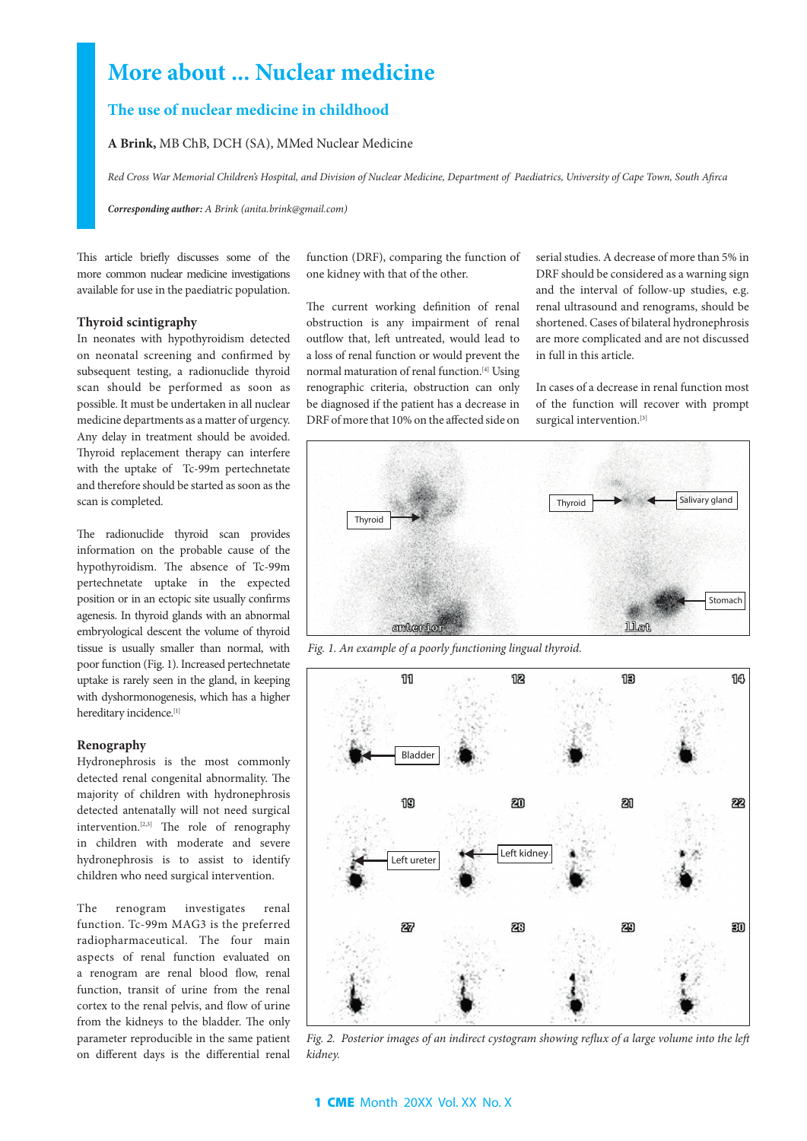# **More about ... Nuclear medicine**

# **The use of nuclear medicine in childhood**

**A Brink,** MB ChB, DCH (SA), MMed Nuclear Medicine

*Red Cross War Memorial Children's Hospital, and Division of Nuclear Medicine, Department of Paediatrics, University of Cape Town, South Afirca*

*Corresponding author: A Brink (anita.brink@gmail.com)*

This article briefly discusses some of the more common nuclear medicine investigations available for use in the paediatric population.

#### **Thyroid scintigraphy**

In neonates with hypothyroidism detected on neonatal screening and confirmed by subsequent testing, a radionuclide thyroid scan should be performed as soon as possible. It must be undertaken in all nuclear medicine departments as a matter of urgency. Any delay in treatment should be avoided. Thyroid replacement therapy can interfere with the uptake of Tc-99m pertechnetate and therefore should be started as soon as the scan is completed.

The radionuclide thyroid scan provides information on the probable cause of the hypothyroidism. The absence of Tc-99m pertechnetate uptake in the expected position or in an ectopic site usually confirms agenesis. In thyroid glands with an abnormal embryological descent the volume of thyroid tissue is usually smaller than normal, with poor function (Fig. 1). Increased pertechnetate uptake is rarely seen in the gland, in keeping with dyshormonogenesis, which has a higher hereditary incidence.[1]

## **Renography**

Hydronephrosis is the most commonly detected renal congenital abnormality. The majority of children with hydronephrosis detected antenatally will not need surgical intervention.[2,3] The role of renography in children with moderate and severe hydronephrosis is to assist to identify children who need surgical intervention.

The renogram investigates renal function. Tc-99m MAG3 is the preferred radiopharmaceutical. The four main aspects of renal function evaluated on a renogram are renal blood flow, renal function, transit of urine from the renal cortex to the renal pelvis, and flow of urine from the kidneys to the bladder. The only parameter reproducible in the same patient on different days is the differential renal function (DRF), comparing the function of one kidney with that of the other.

The current working definition of renal obstruction is any impairment of renal outflow that, left untreated, would lead to a loss of renal function or would prevent the normal maturation of renal function.<sup>[4]</sup> Using renographic criteria, obstruction can only be diagnosed if the patient has a decrease in DRF of more that 10% on the affected side on serial studies. A decrease of more than 5% in DRF should be considered as a warning sign and the interval of follow-up studies, e.g. renal ultrasound and renograms, should be shortened. Cases of bilateral hydronephrosis are more complicated and are not discussed in full in this article.

In cases of a decrease in renal function most of the function will recover with prompt surgical intervention.<sup>[3]</sup>



*Fig. 1. An example of a poorly functioning lingual thyroid.*



*Fig. 2. Posterior images of an indirect cystogram showing reflux of a large volume into the left kidney.*